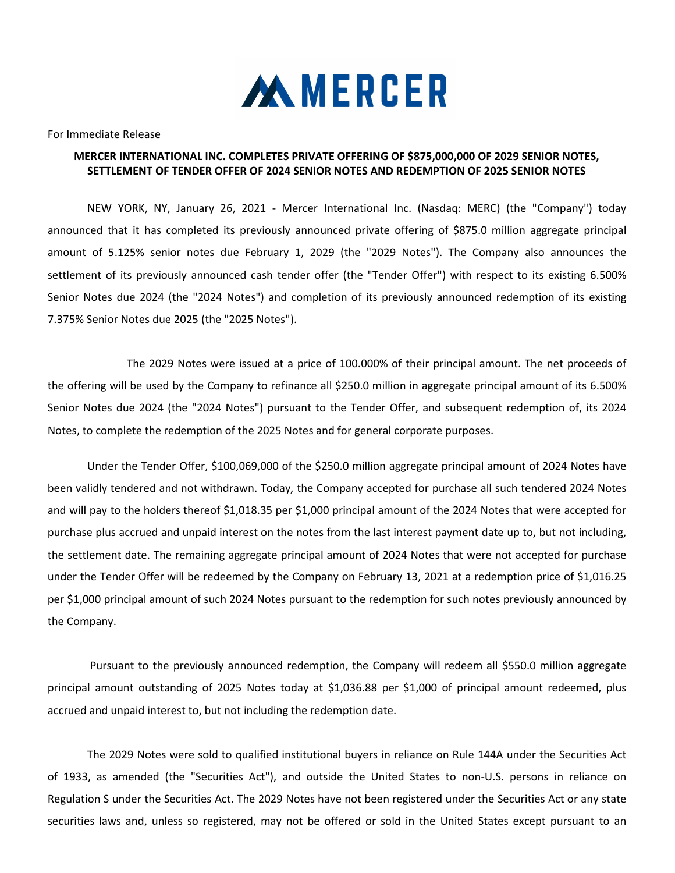

## For Immediate Release

## MERCER INTERNATIONAL INC. COMPLETES PRIVATE OFFERING OF \$875,000,000 OF 2029 SENIOR NOTES, SETTLEMENT OF TENDER OFFER OF 2024 SENIOR NOTES AND REDEMPTION OF 2025 SENIOR NOTES

NEW YORK, NY, January 26, 2021 - Mercer International Inc. (Nasdaq: MERC) (the "Company") today announced that it has completed its previously announced private offering of \$875.0 million aggregate principal amount of 5.125% senior notes due February 1, 2029 (the "2029 Notes"). The Company also announces the settlement of its previously announced cash tender offer (the "Tender Offer") with respect to its existing 6.500% Senior Notes due 2024 (the "2024 Notes") and completion of its previously announced redemption of its existing 7.375% Senior Notes due 2025 (the "2025 Notes").

 The 2029 Notes were issued at a price of 100.000% of their principal amount. The net proceeds of the offering will be used by the Company to refinance all \$250.0 million in aggregate principal amount of its 6.500% Senior Notes due 2024 (the "2024 Notes") pursuant to the Tender Offer, and subsequent redemption of, its 2024 Notes, to complete the redemption of the 2025 Notes and for general corporate purposes.

Under the Tender Offer, \$100,069,000 of the \$250.0 million aggregate principal amount of 2024 Notes have been validly tendered and not withdrawn. Today, the Company accepted for purchase all such tendered 2024 Notes and will pay to the holders thereof \$1,018.35 per \$1,000 principal amount of the 2024 Notes that were accepted for purchase plus accrued and unpaid interest on the notes from the last interest payment date up to, but not including, the settlement date. The remaining aggregate principal amount of 2024 Notes that were not accepted for purchase under the Tender Offer will be redeemed by the Company on February 13, 2021 at a redemption price of \$1,016.25 per \$1,000 principal amount of such 2024 Notes pursuant to the redemption for such notes previously announced by the Company.

 Pursuant to the previously announced redemption, the Company will redeem all \$550.0 million aggregate principal amount outstanding of 2025 Notes today at \$1,036.88 per \$1,000 of principal amount redeemed, plus accrued and unpaid interest to, but not including the redemption date.

The 2029 Notes were sold to qualified institutional buyers in reliance on Rule 144A under the Securities Act of 1933, as amended (the "Securities Act"), and outside the United States to non-U.S. persons in reliance on Regulation S under the Securities Act. The 2029 Notes have not been registered under the Securities Act or any state securities laws and, unless so registered, may not be offered or sold in the United States except pursuant to an